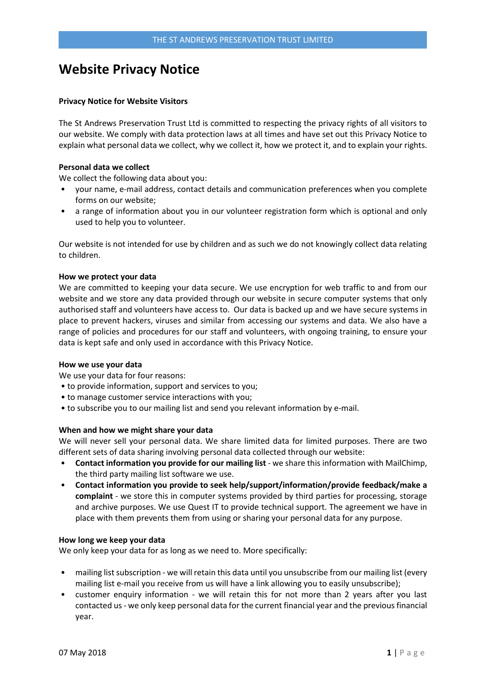# **Website Privacy Notice**

## **Privacy Notice for Website Visitors**

The St Andrews Preservation Trust Ltd is committed to respecting the privacy rights of all visitors to our website. We comply with data protection laws at all times and have set out this Privacy Notice to explain what personal data we collect, why we collect it, how we protect it, and to explain your rights.

## **Personal data we collect**

We collect the following data about you:

- your name, e-mail address, contact details and communication preferences when you complete forms on our website;
- a range of information about you in our volunteer registration form which is optional and only used to help you to volunteer.

Our website is not intended for use by children and as such we do not knowingly collect data relating to children.

# **How we protect your data**

We are committed to keeping your data secure. We use encryption for web traffic to and from our website and we store any data provided through our website in secure computer systems that only authorised staff and volunteers have access to. Our data is backed up and we have secure systems in place to prevent hackers, viruses and similar from accessing our systems and data. We also have a range of policies and procedures for our staff and volunteers, with ongoing training, to ensure your data is kept safe and only used in accordance with this Privacy Notice.

## **How we use your data**

We use your data for four reasons:

- to provide information, support and services to you;
- to manage customer service interactions with you;
- to subscribe you to our mailing list and send you relevant information by e-mail.

## **When and how we might share your data**

We will never sell your personal data. We share limited data for limited purposes. There are two different sets of data sharing involving personal data collected through our website:

- **Contact information you provide for our mailing list**  we share this information with MailChimp, the third party mailing list software we use.
- **Contact information you provide to seek help/support/information/provide feedback/make a complaint** - we store this in computer systems provided by third parties for processing, storage and archive purposes. We use Quest IT to provide technical support. The agreement we have in place with them prevents them from using or sharing your personal data for any purpose.

## **How long we keep your data**

We only keep your data for as long as we need to. More specifically:

- mailing list subscription we will retain this data until you unsubscribe from our mailing list (every mailing list e-mail you receive from us will have a link allowing you to easily unsubscribe);
- customer enquiry information we will retain this for not more than 2 years after you last contacted us - we only keep personal data for the current financial year and the previous financial year.